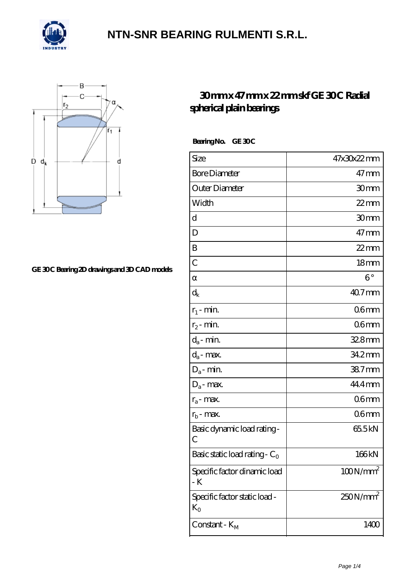



#### GE 30C Bearing 2D drawings and 3D CAD models

#### **[30 mm x 47 mm x 22 mm skf GE 30 C Radial](https://m.confidencemenimprov.com/af-64975063-skf-ge-30-c-radial-spherical-plain-bearings.html) [spherical plain bearings](https://m.confidencemenimprov.com/af-64975063-skf-ge-30-c-radial-spherical-plain-bearings.html)**

Bearing No. GE 30C

| Size                                     | 47x30x22mm           |
|------------------------------------------|----------------------|
| <b>Bore Diameter</b>                     | $47 \,\mathrm{mm}$   |
| Outer Diameter                           | 30mm                 |
| Width                                    | $22$ mm              |
| d                                        | 30mm                 |
| D                                        | $47 \,\mathrm{mm}$   |
| B                                        | $22$ mm              |
| $\overline{C}$                           | 18 <sub>mm</sub>     |
|                                          | $6^{\circ}$          |
| $\mathrm{d}_{\mathsf{k}}$                | 40.7mm               |
| $r_1$ - min.                             | 06mm                 |
| $r_2$ - min.                             | 06 <sub>mm</sub>     |
| $d_a$ - min.                             | 32.8mm               |
| $d_a$ - max.                             | 34.2mm               |
| $D_a$ - min.                             | 38.7mm               |
| $D_a$ - max.                             | 44.4mm               |
| $r_a$ - max.                             | 06 <sub>mm</sub>     |
| $r_{b}$ - max.                           | 06 <sub>mm</sub>     |
| Basic dynamic load rating-<br>С          | 655kN                |
| Basic static load rating - $C_0$         | 166kN                |
| Specific factor dinamic load<br>- K      | $100N/mm^2$          |
| Specific factor static load -<br>$K_{O}$ | 250N/mm <sup>2</sup> |
| Constant - $K_M$                         | 1400                 |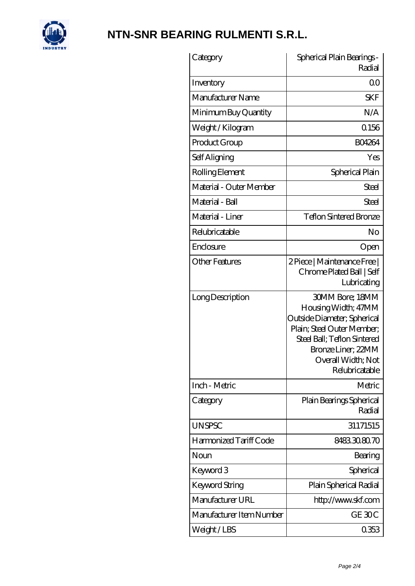

| Category                 | Spherical Plain Bearings -<br>Radial                                                                                                                                                                    |
|--------------------------|---------------------------------------------------------------------------------------------------------------------------------------------------------------------------------------------------------|
| Inventory                | Q0                                                                                                                                                                                                      |
| Manufacturer Name        | <b>SKF</b>                                                                                                                                                                                              |
| Minimum Buy Quantity     | N/A                                                                                                                                                                                                     |
| Weight / Kilogram        | 0.156                                                                                                                                                                                                   |
| Product Group            | <b>BO4264</b>                                                                                                                                                                                           |
| Self Aligning            | Yes                                                                                                                                                                                                     |
| Rolling Element          | Spherical Plain                                                                                                                                                                                         |
| Material - Outer Member  | Steel                                                                                                                                                                                                   |
| Material - Ball          | Steel                                                                                                                                                                                                   |
| Material - Liner         | <b>Teflon Sintered Bronze</b>                                                                                                                                                                           |
| Relubricatable           | No                                                                                                                                                                                                      |
| Enclosure                | Open                                                                                                                                                                                                    |
| <b>Other Features</b>    | 2 Piece   Maintenance Free  <br>Chrome Plated Ball   Self<br>Lubricating                                                                                                                                |
| Long Description         | <b>30MM Bore; 18MM</b><br>Housing Width; 47MM<br>Outside Diameter; Spherical<br>Plain; Steel Outer Member;<br>Steel Ball; Teflon Sintered<br>Bronze Liner; 22MM<br>Overall Width; Not<br>Relubricatable |
| Inch - Metric            | Metric                                                                                                                                                                                                  |
| Category                 | Plain Bearings Spherical<br>Radial                                                                                                                                                                      |
| <b>UNSPSC</b>            | 31171515                                                                                                                                                                                                |
| Harmonized Tariff Code   | 8483308070                                                                                                                                                                                              |
| Noun                     | Bearing                                                                                                                                                                                                 |
| Keyword 3                | Spherical                                                                                                                                                                                               |
| <b>Keyword String</b>    | Plain Spherical Radial                                                                                                                                                                                  |
| Manufacturer URL         | http://www.skf.com                                                                                                                                                                                      |
| Manufacturer Item Number | GE 30C                                                                                                                                                                                                  |
| Weight/LBS               | 0353                                                                                                                                                                                                    |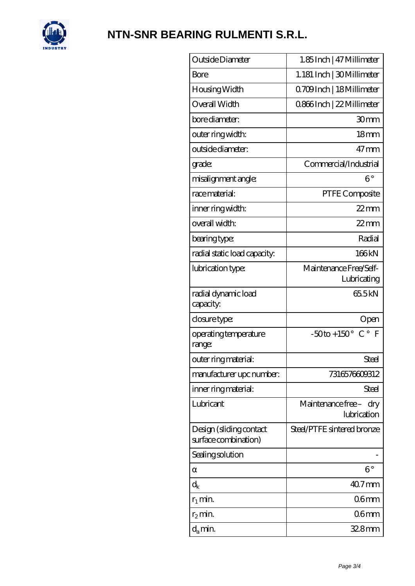

| Outside Diameter                                | 1.85Inch   47 Millimeter                        |
|-------------------------------------------------|-------------------------------------------------|
| Bore                                            | 1.181 Inch   30Millimeter                       |
| Housing Width                                   | Q709Inch   18Millimeter                         |
| Overall Width                                   | 0866Inch   22 Millimeter                        |
| bore diameter:                                  | 30mm                                            |
| outer ring width:                               | 18 <sub>mm</sub>                                |
| outside diameter:                               | $47 \,\mathrm{mm}$                              |
| grade:                                          | Commercial/Industrial                           |
| misalignment angle:                             | $6^{\circ}$                                     |
| race material:                                  | PTFE Composite                                  |
| inner ring width:                               | $22$ mm                                         |
| overall width:                                  | $22$ mm                                         |
| bearing type:                                   | Radial                                          |
| radial static load capacity:                    | 166kN                                           |
| lubrication type:                               | Maintenance Free/Self-<br>Lubricating           |
| radial dynamic load<br>capacity:                | 655kN                                           |
| closure type:                                   | Open                                            |
| operating temperature<br>range:                 | $-50$ to + 150° C° F                            |
| outer ring material:                            | Steel                                           |
| manufacturer upc number:                        | 7316576609312                                   |
| inner ring material:                            | Steel                                           |
| Lubricant                                       | Maintenance free –<br>$\rm{dry}$<br>lubrication |
| Design (sliding contact<br>surface combination) | Steel/PTFE sintered bronze                      |
| Sealing solution                                |                                                 |
|                                                 | $6^{\circ}$                                     |
| $\mathrm{d}_{\mathrm{k}}$                       | $407$ mm                                        |
| $r_1$ min.                                      | 06 <sub>mm</sub>                                |
| $r_2$ min.                                      | 06 <sub>mm</sub>                                |
| $d_a$ min.                                      | $328$ mm                                        |